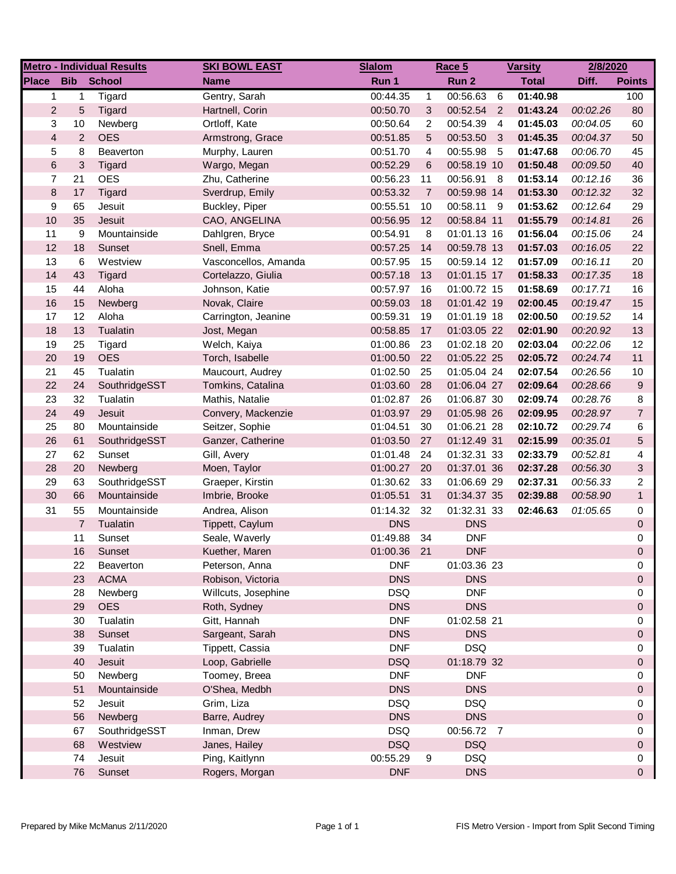|                |                           | <b>Metro - Individual Results</b> | <b>SKI BOWL EAST</b> | <b>Slalom</b> |                | Race 5      |                | <b>Varsity</b> | 2/8/2020 |                |
|----------------|---------------------------|-----------------------------------|----------------------|---------------|----------------|-------------|----------------|----------------|----------|----------------|
| Place          | <b>Bib</b>                | <b>School</b>                     | <b>Name</b>          | Run 1         |                | Run 2       |                | <b>Total</b>   | Diff.    | <b>Points</b>  |
| 1              | 1                         | Tigard                            | Gentry, Sarah        | 00:44.35      | 1              | 00:56.63    | 6              | 01:40.98       |          | 100            |
| $\overline{2}$ | 5                         | Tigard                            | Hartnell, Corin      | 00:50.70      | 3              | 00:52.54 2  |                | 01:43.24       | 00:02.26 | 80             |
| 3              | 10                        | Newberg                           | Ortloff, Kate        | 00:50.64      | 2              | 00:54.39    | $\overline{4}$ | 01:45.03       | 00:04.05 | 60             |
| $\overline{4}$ | $\overline{2}$            | <b>OES</b>                        | Armstrong, Grace     | 00:51.85      | 5              | 00:53.50    | $\mathbf{3}$   | 01:45.35       | 00:04.37 | 50             |
| 5              | 8                         | Beaverton                         | Murphy, Lauren       | 00:51.70      | 4              | 00:55.98    | - 5            | 01:47.68       | 00:06.70 | 45             |
| $\,6$          | $\ensuremath{\mathsf{3}}$ | Tigard                            | Wargo, Megan         | 00:52.29      | 6              | 00:58.19 10 |                | 01:50.48       | 00:09.50 | 40             |
| 7              | 21                        | <b>OES</b>                        | Zhu, Catherine       | 00:56.23      | 11             | 00:56.91    | - 8            | 01:53.14       | 00:12.16 | 36             |
| 8              | 17                        | Tigard                            | Sverdrup, Emily      | 00:53.32      | $\overline{7}$ | 00:59.98 14 |                | 01:53.30       | 00:12.32 | 32             |
| 9              | 65                        | Jesuit                            | Buckley, Piper       | 00:55.51      | 10             | 00:58.11    | - 9            | 01:53.62       | 00:12.64 | 29             |
| 10             | 35                        | Jesuit                            | CAO, ANGELINA        | 00:56.95      | 12             | 00:58.84 11 |                | 01:55.79       | 00:14.81 | 26             |
| 11             | 9                         | Mountainside                      | Dahlgren, Bryce      | 00:54.91      | 8              | 01:01.13 16 |                | 01:56.04       | 00:15.06 | 24             |
| 12             | 18                        | Sunset                            | Snell, Emma          | 00:57.25      | 14             | 00:59.78 13 |                | 01:57.03       | 00:16.05 | 22             |
| 13             | 6                         | Westview                          | Vasconcellos, Amanda | 00:57.95      | 15             | 00:59.14 12 |                | 01:57.09       | 00:16.11 | 20             |
| 14             | 43                        | Tigard                            | Cortelazzo, Giulia   | 00:57.18      | 13             | 01:01.15 17 |                | 01:58.33       | 00:17.35 | 18             |
| 15             | 44                        | Aloha                             | Johnson, Katie       | 00:57.97      | 16             | 01:00.72 15 |                | 01:58.69       | 00:17.71 | 16             |
| 16             | 15                        | Newberg                           | Novak, Claire        | 00:59.03      | 18             | 01:01.42 19 |                | 02:00.45       | 00:19.47 | 15             |
| 17             | 12                        | Aloha                             | Carrington, Jeanine  | 00:59.31      | 19             | 01:01.19 18 |                | 02:00.50       | 00:19.52 | 14             |
| 18             | 13                        | Tualatin                          | Jost, Megan          | 00:58.85      | 17             | 01:03.05 22 |                | 02:01.90       | 00:20.92 | 13             |
| 19             | 25                        | Tigard                            | Welch, Kaiya         | 01:00.86      | 23             | 01:02.18 20 |                | 02:03.04       | 00:22.06 | 12             |
| 20             | 19                        | <b>OES</b>                        | Torch, Isabelle      | 01:00.50      | 22             | 01:05.22 25 |                | 02:05.72       | 00:24.74 | 11             |
| 21             | 45                        | Tualatin                          | Maucourt, Audrey     | 01:02.50      | 25             | 01:05.04 24 |                | 02:07.54       | 00:26.56 | 10             |
| 22             | 24                        | SouthridgeSST                     | Tomkins, Catalina    | 01:03.60      | 28             | 01:06.04 27 |                | 02:09.64       | 00:28.66 | 9              |
| 23             | 32                        | Tualatin                          | Mathis, Natalie      | 01:02.87      | 26             | 01:06.87 30 |                | 02:09.74       | 00:28.76 | 8              |
| 24             | 49                        | Jesuit                            | Convery, Mackenzie   | 01:03.97      | 29             | 01:05.98 26 |                | 02:09.95       | 00:28.97 | $\overline{7}$ |
| 25             | 80                        | Mountainside                      | Seitzer, Sophie      | 01:04.51      | 30             | 01:06.21 28 |                | 02:10.72       | 00:29.74 | 6              |
| 26             | 61                        | SouthridgeSST                     | Ganzer, Catherine    | 01:03.50      | 27             | 01:12.49 31 |                | 02:15.99       | 00:35.01 | 5              |
| 27             | 62                        | Sunset                            | Gill, Avery          | 01:01.48      | 24             | 01:32.31 33 |                | 02:33.79       | 00:52.81 | 4              |
| 28             | 20                        | Newberg                           | Moen, Taylor         | 01:00.27      | 20             | 01:37.01 36 |                | 02:37.28       | 00:56.30 | 3              |
| 29             | 63                        | SouthridgeSST                     | Graeper, Kirstin     | 01:30.62      | 33             | 01:06.69 29 |                | 02:37.31       | 00:56.33 | $\overline{2}$ |
| 30             | 66                        | Mountainside                      | Imbrie, Brooke       | 01:05.51      | 31             | 01:34.37 35 |                | 02:39.88       | 00:58.90 | $\mathbf{1}$   |
| 31             | 55                        | Mountainside                      | Andrea, Alison       | 01:14.32      | 32             | 01:32.31 33 |                | 02:46.63       | 01:05.65 | 0              |
|                | $\overline{7}$            | Tualatin                          | Tippett, Caylum      | <b>DNS</b>    |                | <b>DNS</b>  |                |                |          | 0              |
|                | 11                        | Sunset                            | Seale, Waverly       | 01:49.88      | 34             | <b>DNF</b>  |                |                |          | 0              |
|                | 16                        | Sunset                            | Kuether, Maren       | 01:00.36      | 21             | <b>DNF</b>  |                |                |          | $\Omega$       |
|                | 22                        | Beaverton                         | Peterson, Anna       | <b>DNF</b>    |                | 01:03.36 23 |                |                |          | 0              |
|                | 23                        | <b>ACMA</b>                       | Robison, Victoria    | <b>DNS</b>    |                | <b>DNS</b>  |                |                |          | 0              |
|                | 28                        | Newberg                           | Willcuts, Josephine  | <b>DSQ</b>    |                | <b>DNF</b>  |                |                |          | 0              |
|                | 29                        | <b>OES</b>                        | Roth, Sydney         | <b>DNS</b>    |                | <b>DNS</b>  |                |                |          | 0              |
|                | 30                        | Tualatin                          | Gitt, Hannah         | <b>DNF</b>    |                | 01:02.58 21 |                |                |          | 0              |
|                | 38                        | Sunset                            | Sargeant, Sarah      | <b>DNS</b>    |                | <b>DNS</b>  |                |                |          | 0              |
|                | 39                        | Tualatin                          | Tippett, Cassia      | <b>DNF</b>    |                | <b>DSQ</b>  |                |                |          | 0              |
|                | 40                        | Jesuit                            | Loop, Gabrielle      | <b>DSQ</b>    |                | 01:18.79 32 |                |                |          | 0              |
|                | 50                        | Newberg                           | Toomey, Breea        | <b>DNF</b>    |                | <b>DNF</b>  |                |                |          | 0              |
|                | 51                        | Mountainside                      | O'Shea, Medbh        | <b>DNS</b>    |                | <b>DNS</b>  |                |                |          | 0              |
|                | 52                        | Jesuit                            | Grim, Liza           | <b>DSQ</b>    |                | <b>DSQ</b>  |                |                |          | 0              |
|                | 56                        | Newberg                           | Barre, Audrey        | <b>DNS</b>    |                | <b>DNS</b>  |                |                |          | 0              |
|                | 67                        | SouthridgeSST                     | Inman, Drew          | <b>DSQ</b>    |                | 00:56.72 7  |                |                |          | 0              |
|                | 68                        | Westview                          | Janes, Hailey        | <b>DSQ</b>    |                | <b>DSQ</b>  |                |                |          | 0              |
|                | 74                        | Jesuit                            | Ping, Kaitlynn       | 00:55.29      | 9              | <b>DSQ</b>  |                |                |          | 0              |
|                | 76                        | Sunset                            | Rogers, Morgan       | <b>DNF</b>    |                | <b>DNS</b>  |                |                |          | 0              |